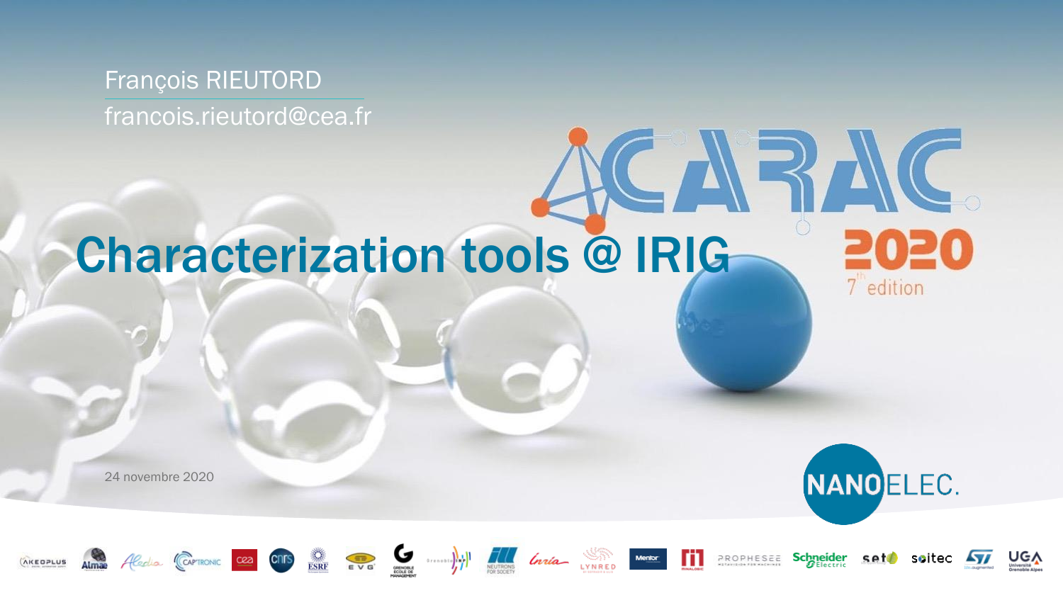### François RIEUTORD francois.rieutord@cea.fr

# Characterization tools @ IRIG

24 novembre 2020



7 edition















CARAC



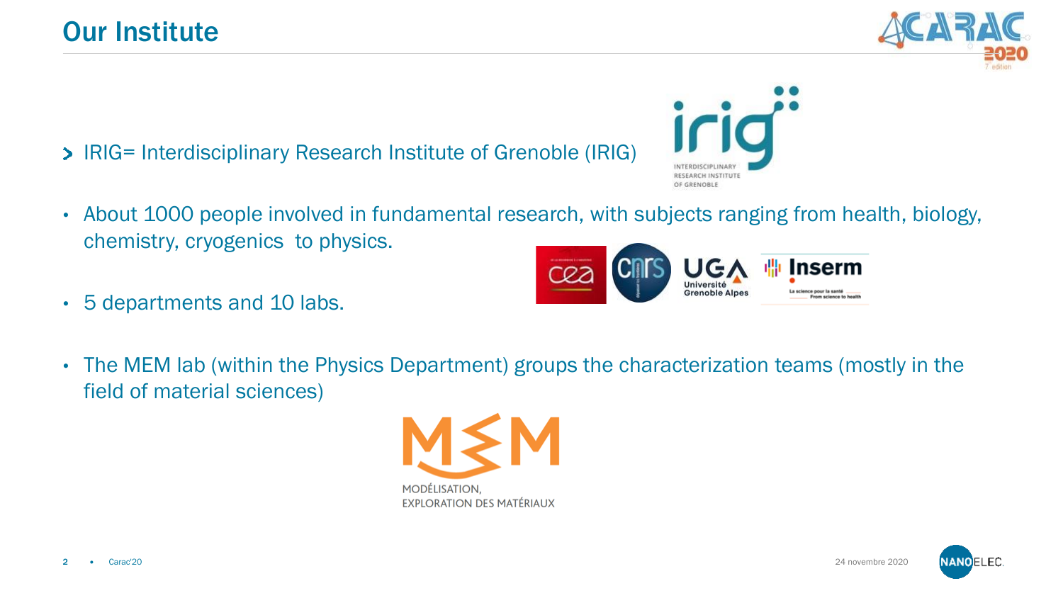- IRIG= Interdisciplinary Research Institute of Grenoble (IRIG)
- About 1000 people involved in fundamental research, with subjects ranging from health, biology, chemistry, cryogenics to physics.
- 5 departments and 10 labs.
- The MEM lab (within the Physics Department) groups the characterization teams (mostly in the field of material sciences)









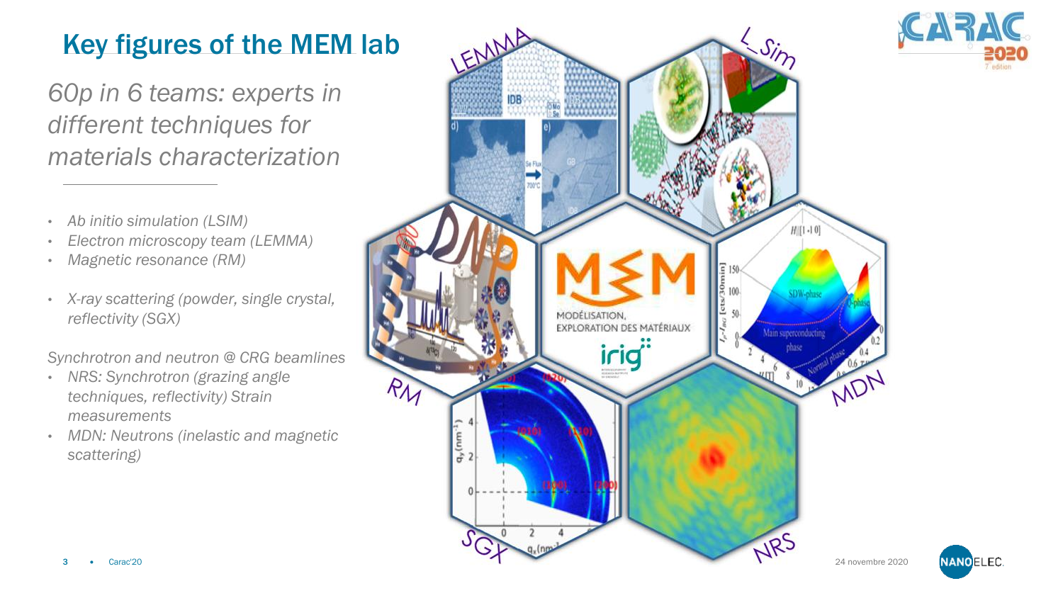### Key figures of the MEM lab

*60p in 6 teams: experts in different techniques for materials characterization*

- *Ab initio simulation (LSIM)*
- *Electron microscopy team (LEMMA)*
- *Magnetic resonance (RM)*
- *X-ray scattering (powder, single crystal, reflectivity (SGX)*

*Synchrotron and neutron @ CRG beamlines*

- *NRS: Synchrotron (grazing angle techniques, reflectivity) Strain measurements*
- *MDN: Neutrons (inelastic and magnetic scattering)*



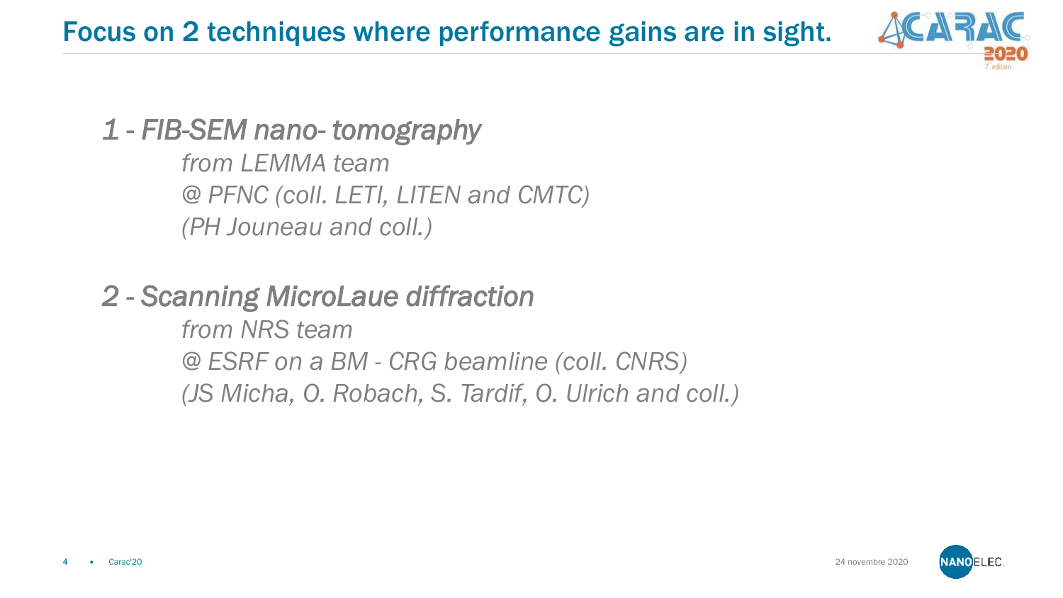

### *1 - FIB-SEM nano- tomography*

*from LEMMA team @ PFNC (coll. LETI, LITEN and CMTC) (PH Jouneau and coll.)*

### *2 - Scanning MicroLaue diffraction*

*from NRS team @ ESRF on a BM - CRG beamline (coll. CNRS) (JS Micha, O. Robach, S. Tardif, O. Ulrich and coll.)*

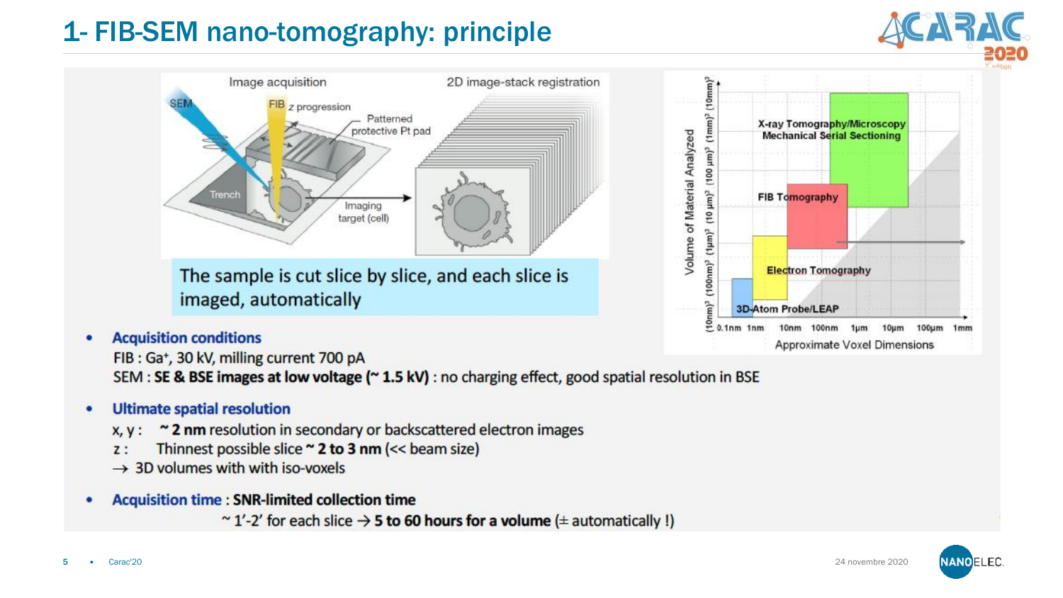### 1- FIB-SEM nano-tomography: principle





**Acquisition conditions** 

FIB: Ga+, 30 kV, milling current 700 pA SEM : SE & BSE images at low voltage (~ 1.5 kV) : no charging effect, good spatial resolution in BSE

#### **Ultimate spatial resolution**

- ~ 2 nm resolution in secondary or backscattered electron images  $X, Y:$
- Thinnest possible slice ~ 2 to 3 nm (<< beam size)  $7:$
- $\rightarrow$  3D volumes with with iso-voxels
- **Acquisition time : SNR-limited collection time** 
	- ~1'-2' for each slice  $\rightarrow$  5 to 60 hours for a volume ( $\pm$  automatically !)

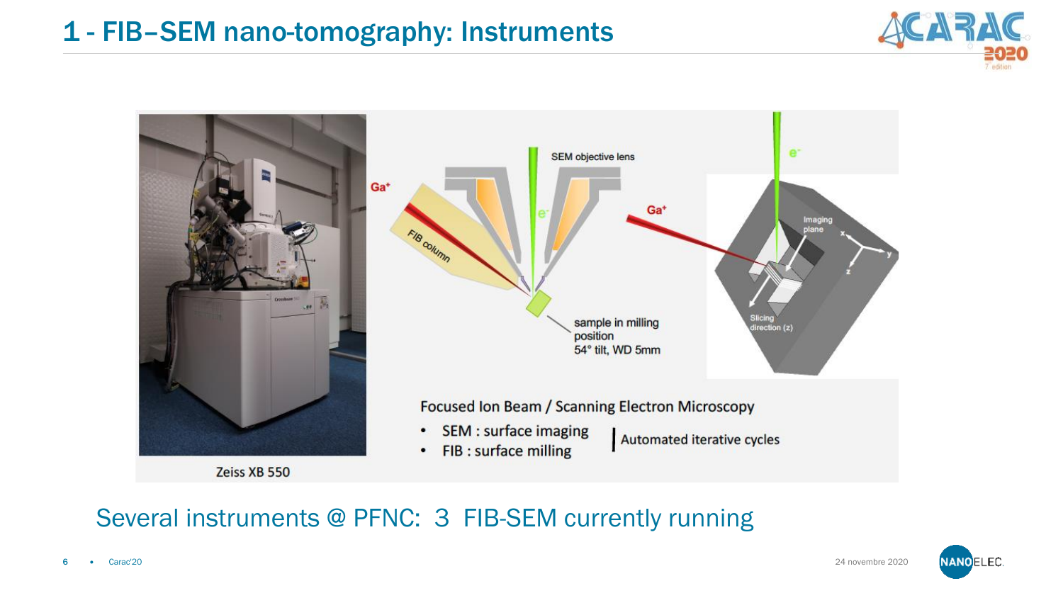### 1 - FIB–SEM nano-tomography: Instruments





#### Several instruments @ PFNC: 3 FIB-SEM currently running

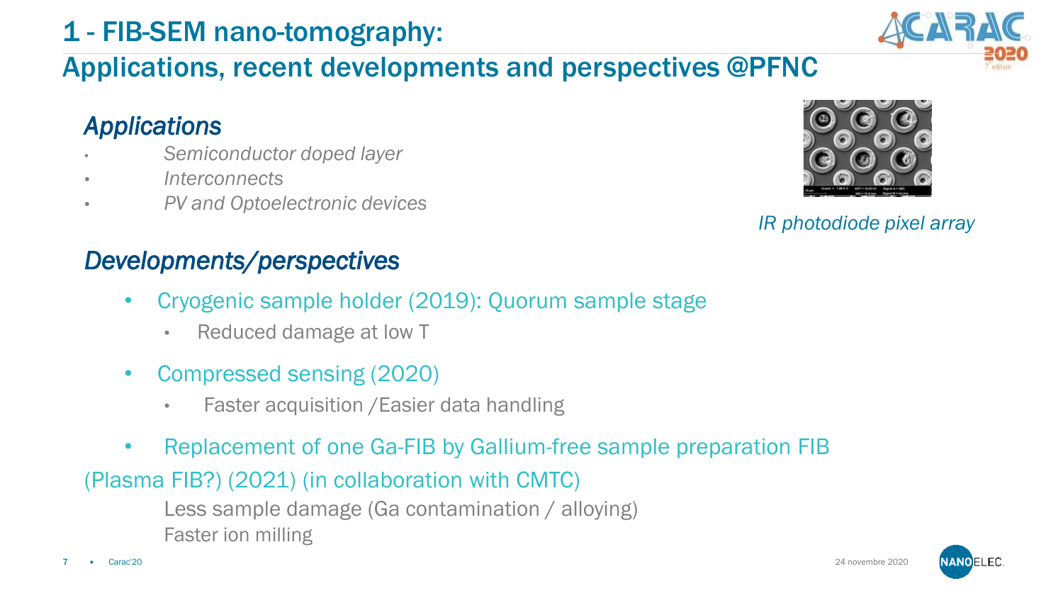### 1 - FIB-SEM nano-tomography:

### Applications, recent developments and perspectives @PFNC

### *Applications*

- *Semiconductor doped layer*
- *Interconnects*
- *PV and Optoelectronic devices*

#### *Developments/perspectives*

- Cryogenic sample holder (2019): Quorum sample stage
	- Reduced damage at low T
- Compressed sensing (2020)
	- Faster acquisition /Easier data handling
- Replacement of one Ga-FIB by Gallium-free sample preparation FIB

#### (Plasma FIB?) (2021) (in collaboration with CMTC)

Less sample damage (Ga contamination / alloying) Faster ion milling



24 novembre 2020





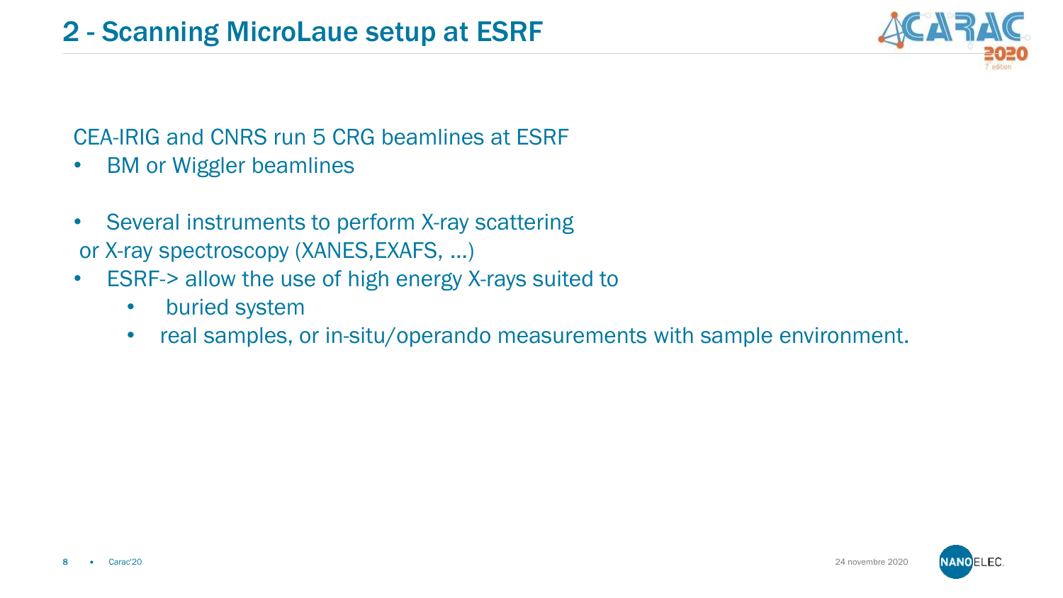#### CEA-IRIG and CNRS run 5 CRG beamlines at ESRF

- BM or Wiggler beamlines
- Several instruments to perform X-ray scattering or X-ray spectroscopy (XANES,EXAFS, …)
- ESRF-> allow the use of high energy X-rays suited to
	- buried system
	- real samples, or in-situ/operando measurements with sample environment.



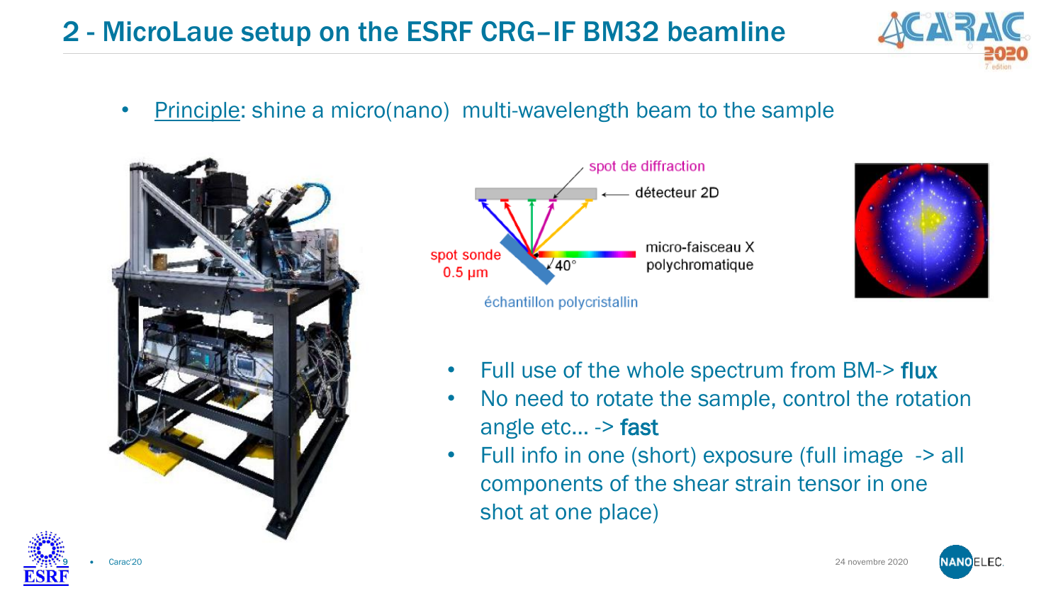### 2 - MicroLaue setup on the ESRF CRG–IF BM32 beamline



• Principle: shine a micro(nano) multi-wavelength beam to the sample







- Full use of the whole spectrum from BM-> flux
- No need to rotate the sample, control the rotation angle etc… -> fast
- Full info in one (short) exposure (full image -> all components of the shear strain tensor in one shot at one place)

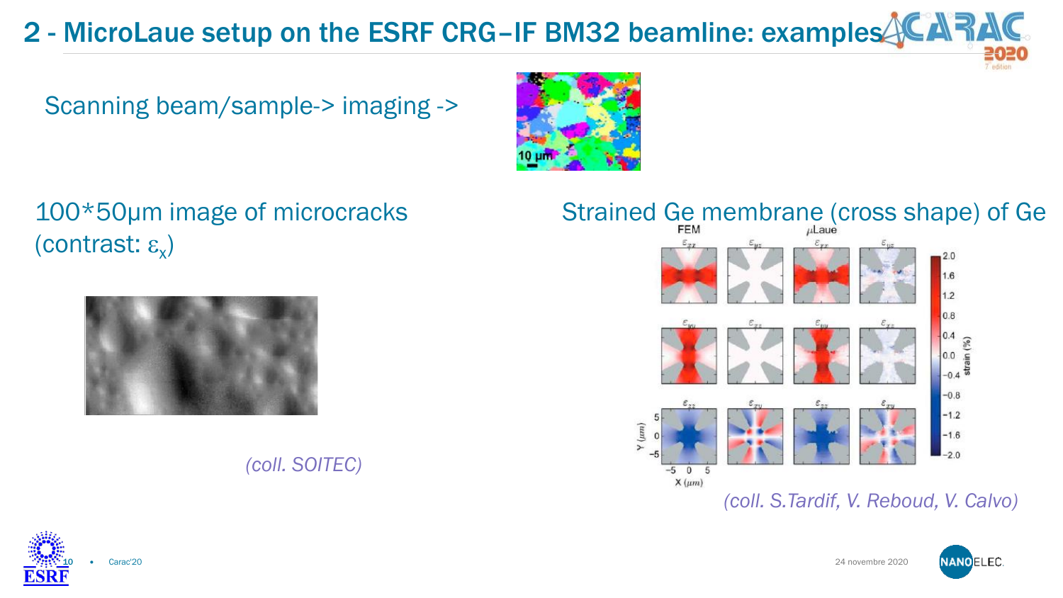### 2 - MicroLaue setup on the ESRF CRG-IF BM32 beamline: examples

Scanning beam/sample-> imaging ->



100\*50µm image of microcracks (contrast:  $\varepsilon_{\mathsf{x}}$ )



#### *(coll. SOITEC)*

### Strained Ge membrane (cross shape) of Ge



*(coll. S.Tardif, V. Reboud, V. Calvo)*



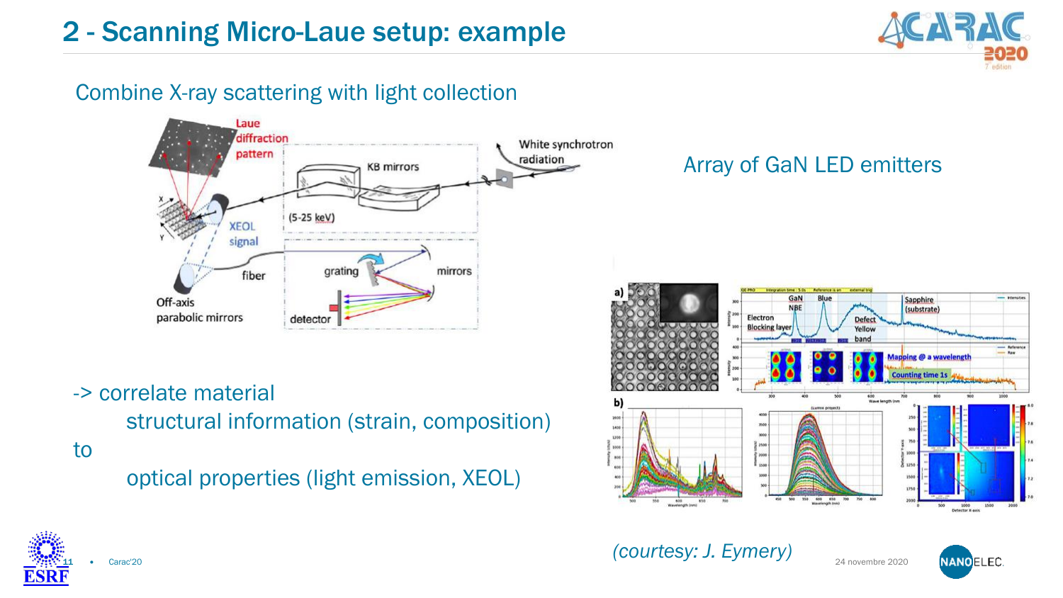

#### Combine X-ray scattering with light collection



-> correlate material

structural information (strain, composition)

to

optical properties (light emission, XEOL)

#### Array of GaN LED emitters



*(courtesy: J. Eymery)* 

24 novembre 2020



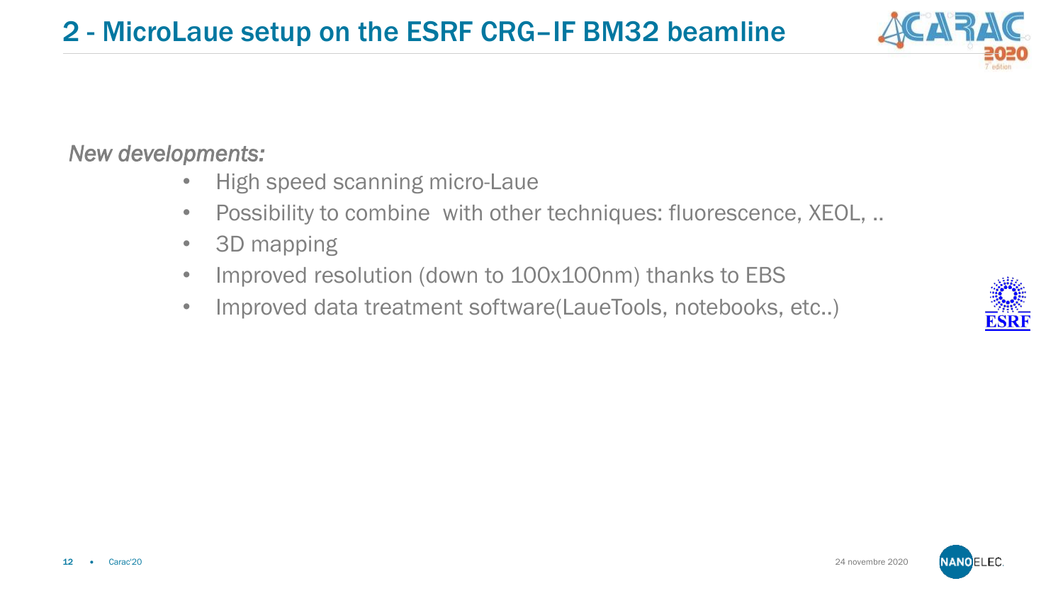#### *New developments:*

- High speed scanning micro-Laue
- Possibility to combine with other techniques: fluorescence, XEOL, ..
- 3D mapping
- Improved resolution (down to 100x100nm) thanks to EBS
- Improved data treatment software(LaueTools, notebooks, etc..)





24 novembre 2020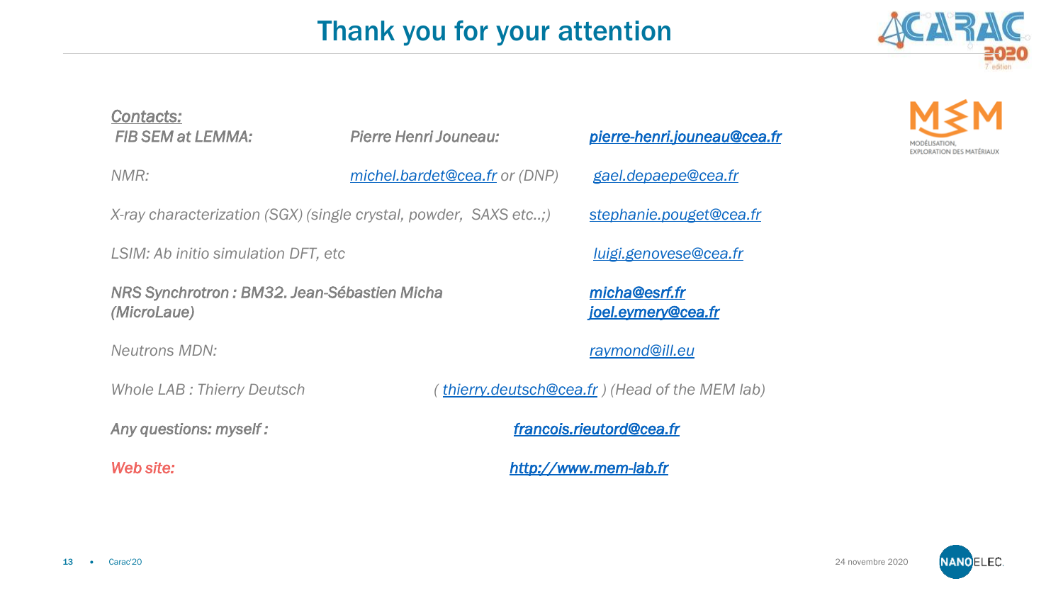### Thank you for your attention



## *Contacts:*

*NMR: [michel.bardet@cea.fr](mailto:michel.bardet@cea.fr) or (DNP) [gael.depaepe@cea.fr](mailto:gael.depaepe@cea.fr)*

*X-ray characterization (SGX) (single crystal, powder, SAXS etc..;) [stephanie.pouget@cea.fr](mailto:stephanie.pouget@cea.fr)*

*LSIM: Ab initio simulation DFT, etc [luigi.genovese@cea.fr](mailto:luigi.genovese@cea.fr)*

*NRS Synchrotron : BM32. Jean-Sébastien Micha [micha@esrf.fr](mailto:micha@esrf.fr) (MicroLaue) [joel.eymery@cea.fr](mailto:joel.eymery@cea.fr)*

*FIB SEM at LEMMA: Pierre Henri Jouneau: [pierre-henri.jouneau@cea.fr](mailto:pierre-henri.jouneau@cea.fr)*

*Neutrons MDN: [raymond@ill.eu](mailto:raymond@ill.eu)*

*Whole LAB : Thierry Deutsch ( [thierry.deutsch@cea.fr](mailto:thierry.deutsch@cea.fr) ) (Head of the MEM lab)*

*Any questions: myself : [francois.rieutord@cea.fr](mailto:francois.rieutord@cea.fr)*

*Web site: [http://www.mem-lab.fr](http://www.mem-lab.fr/)*